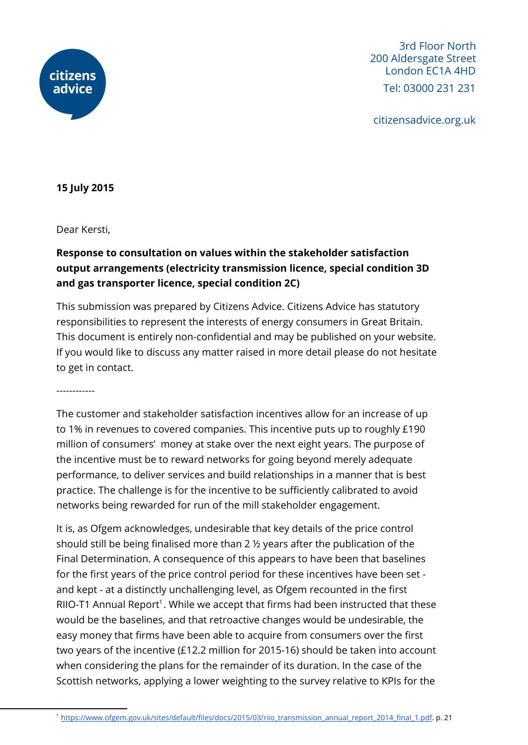

3rd Floor North 200 Aldersgate Street London EC1A 4HD Tel: 03000 231 231

citizensadvice.org.uk

**15 July 2015**

Dear Kersti,

## **Response to consultation on values within the stakeholder satisfaction output arrangements (electricity transmission licence, special condition 3D and gas transporter licence, special condition 2C)**

This submission was prepared by Citizens Advice. Citizens Advice has statutory responsibilities to represent the interests of energy consumers in Great Britain. This document is entirely non-confidential and may be published on your website. If you would like to discuss any matter raised in more detail please do not hesitate to get in contact.

------------

The customer and stakeholder satisfaction incentives allow for an increase of up to 1% in revenues to covered companies. This incentive puts up to roughly £190 million of consumers' money at stake over the next eight years. The purpose of the incentive must be to reward networks for going beyond merely adequate performance, to deliver services and build relationships in a manner that is best practice. The challenge is for the incentive to be sufficiently calibrated to avoid networks being rewarded for run of the mill stakeholder engagement.

It is, as Ofgem acknowledges, undesirable that key details of the price control should still be being finalised more than 2 ½ years after the publication of the Final Determination. A consequence of this appears to have been that baselines for the first years of the price control period for these incentives have been set and kept - at a distinctly unchallenging level, as Ofgem recounted in the first RIIO-T1 Annual Report<sup>1</sup>. While we accept that firms had been instructed that these would be the baselines, and that retroactive changes would be undesirable, the easy money that firms have been able to acquire from consumers over the first two years of the incentive (£12.2 million for 2015-16) should be taken into account when considering the plans for the remainder of its duration. In the case of the Scottish networks, applying a lower weighting to the survey relative to KPIs for the

<sup>&</sup>lt;sup>1</sup> [https://www.ofgem.gov.uk/sites/default/files/docs/2015/03/riio\\_transmission\\_annual\\_report\\_2014\\_final\\_1.pdf.](https://www.ofgem.gov.uk/sites/default/files/docs/2015/03/riio_transmission_annual_report_2014_final_1.pdf) p. 21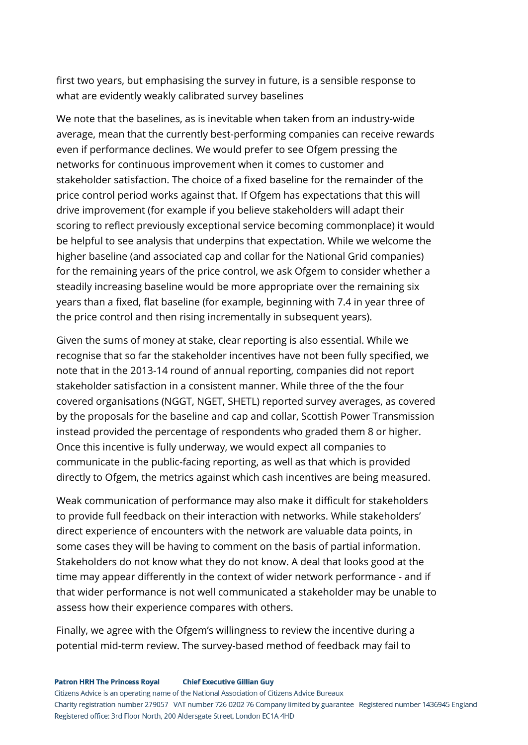first two years, but emphasising the survey in future, is a sensible response to what are evidently weakly calibrated survey baselines

We note that the baselines, as is inevitable when taken from an industry-wide average, mean that the currently best-performing companies can receive rewards even if performance declines. We would prefer to see Ofgem pressing the networks for continuous improvement when it comes to customer and stakeholder satisfaction. The choice of a fixed baseline for the remainder of the price control period works against that. If Ofgem has expectations that this will drive improvement (for example if you believe stakeholders will adapt their scoring to reflect previously exceptional service becoming commonplace) it would be helpful to see analysis that underpins that expectation. While we welcome the higher baseline (and associated cap and collar for the National Grid companies) for the remaining years of the price control, we ask Ofgem to consider whether a steadily increasing baseline would be more appropriate over the remaining six years than a fixed, flat baseline (for example, beginning with 7.4 in year three of the price control and then rising incrementally in subsequent years).

Given the sums of money at stake, clear reporting is also essential. While we recognise that so far the stakeholder incentives have not been fully specified, we note that in the 2013-14 round of annual reporting, companies did not report stakeholder satisfaction in a consistent manner. While three of the the four covered organisations (NGGT, NGET, SHETL) reported survey averages, as covered by the proposals for the baseline and cap and collar, Scottish Power Transmission instead provided the percentage of respondents who graded them 8 or higher. Once this incentive is fully underway, we would expect all companies to communicate in the public-facing reporting, as well as that which is provided directly to Ofgem, the metrics against which cash incentives are being measured.

Weak communication of performance may also make it difficult for stakeholders to provide full feedback on their interaction with networks. While stakeholders' direct experience of encounters with the network are valuable data points, in some cases they will be having to comment on the basis of partial information. Stakeholders do not know what they do not know. A deal that looks good at the time may appear differently in the context of wider network performance - and if that wider performance is not well communicated a stakeholder may be unable to assess how their experience compares with others.

Finally, we agree with the Ofgem's willingness to review the incentive during a potential mid-term review. The survey-based method of feedback may fail to